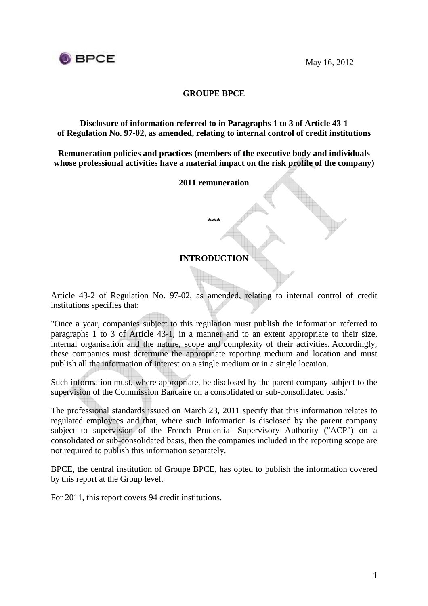



### **GROUPE BPCE**

**Disclosure of information referred to in Paragraphs 1 to 3 of Article 43-1 of Regulation No. 97-02, as amended, relating to internal control of credit institutions** 

**Remuneration policies and practices (members of the executive body and individuals whose professional activities have a material impact on the risk profile of the company)** 

**2011 remuneration** 

**\*\*\*** 

#### **INTRODUCTION**

Article 43-2 of Regulation No. 97-02, as amended, relating to internal control of credit institutions specifies that:

"Once a year, companies subject to this regulation must publish the information referred to paragraphs 1 to 3 of Article 43-1, in a manner and to an extent appropriate to their size, internal organisation and the nature, scope and complexity of their activities. Accordingly, these companies must determine the appropriate reporting medium and location and must publish all the information of interest on a single medium or in a single location.

Such information must, where appropriate, be disclosed by the parent company subject to the supervision of the Commission Bancaire on a consolidated or sub-consolidated basis."

The professional standards issued on March 23, 2011 specify that this information relates to regulated employees and that, where such information is disclosed by the parent company subject to supervision of the French Prudential Supervisory Authority ("ACP") on a consolidated or sub-consolidated basis, then the companies included in the reporting scope are not required to publish this information separately.

BPCE, the central institution of Groupe BPCE, has opted to publish the information covered by this report at the Group level.

For 2011, this report covers 94 credit institutions.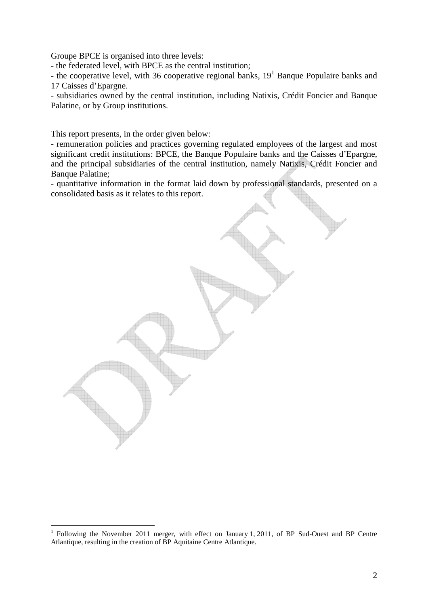Groupe BPCE is organised into three levels:

- the federated level, with BPCE as the central institution;

- the cooperative level, with 36 cooperative regional banks,  $19<sup>1</sup>$  Banque Populaire banks and 17 Caisses d'Epargne.

- subsidiaries owned by the central institution, including Natixis, Crédit Foncier and Banque Palatine, or by Group institutions.

This report presents, in the order given below:

 $\overline{a}$ 

- remuneration policies and practices governing regulated employees of the largest and most significant credit institutions: BPCE, the Banque Populaire banks and the Caisses d'Epargne, and the principal subsidiaries of the central institution, namely Natixis, Crédit Foncier and Banque Palatine:

- quantitative information in the format laid down by professional standards, presented on a consolidated basis as it relates to this report.

<sup>1</sup> Following the November 2011 merger, with effect on January 1, 2011, of BP Sud-Ouest and BP Centre Atlantique, resulting in the creation of BP Aquitaine Centre Atlantique.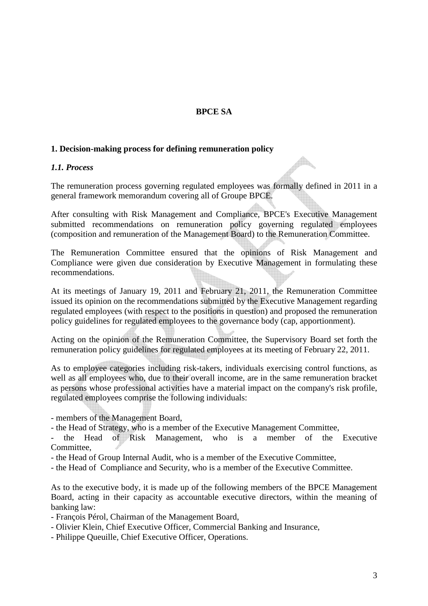## **BPCE SA**

#### **1. Decision-making process for defining remuneration policy**

#### *1.1. Process*

The remuneration process governing regulated employees was formally defined in 2011 in a general framework memorandum covering all of Groupe BPCE.

 $\triangle$ 

After consulting with Risk Management and Compliance, BPCE's Executive Management submitted recommendations on remuneration policy governing regulated employees (composition and remuneration of the Management Board) to the Remuneration Committee.

The Remuneration Committee ensured that the opinions of Risk Management and Compliance were given due consideration by Executive Management in formulating these recommendations.

At its meetings of January 19, 2011 and February 21, 2011, the Remuneration Committee issued its opinion on the recommendations submitted by the Executive Management regarding regulated employees (with respect to the positions in question) and proposed the remuneration policy guidelines for regulated employees to the governance body (cap, apportionment).

Acting on the opinion of the Remuneration Committee, the Supervisory Board set forth the remuneration policy guidelines for regulated employees at its meeting of February 22, 2011.

As to employee categories including risk-takers, individuals exercising control functions, as well as all employees who, due to their overall income, are in the same remuneration bracket as persons whose professional activities have a material impact on the company's risk profile, regulated employees comprise the following individuals:

- members of the Management Board,

- the Head of Strategy, who is a member of the Executive Management Committee,

- the Head of Risk Management, who is a member of the Executive Committee,

- the Head of Group Internal Audit, who is a member of the Executive Committee,

- the Head of Compliance and Security, who is a member of the Executive Committee.

As to the executive body, it is made up of the following members of the BPCE Management Board, acting in their capacity as accountable executive directors, within the meaning of banking law:

- François Pérol, Chairman of the Management Board,

- Olivier Klein, Chief Executive Officer, Commercial Banking and Insurance,
- Philippe Queuille, Chief Executive Officer, Operations.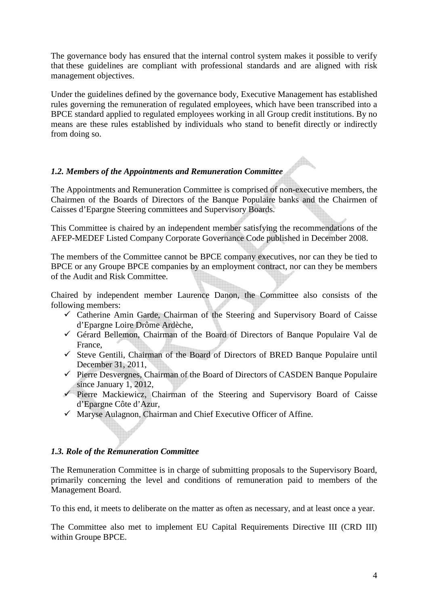The governance body has ensured that the internal control system makes it possible to verify that these guidelines are compliant with professional standards and are aligned with risk management objectives.

Under the guidelines defined by the governance body, Executive Management has established rules governing the remuneration of regulated employees, which have been transcribed into a BPCE standard applied to regulated employees working in all Group credit institutions. By no means are these rules established by individuals who stand to benefit directly or indirectly from doing so.

## *1.2. Members of the Appointments and Remuneration Committee*

The Appointments and Remuneration Committee is comprised of non-executive members, the Chairmen of the Boards of Directors of the Banque Populaire banks and the Chairmen of Caisses d'Epargne Steering committees and Supervisory Boards.

This Committee is chaired by an independent member satisfying the recommendations of the AFEP-MEDEF Listed Company Corporate Governance Code published in December 2008.

The members of the Committee cannot be BPCE company executives, nor can they be tied to BPCE or any Groupe BPCE companies by an employment contract, nor can they be members of the Audit and Risk Committee.

Chaired by independent member Laurence Danon, the Committee also consists of the following members:

- $\checkmark$  Catherine Amin Garde, Chairman of the Steering and Supervisory Board of Caisse d'Epargne Loire Drôme Ardèche,
- Gérard Bellemon, Chairman of the Board of Directors of Banque Populaire Val de France,
- $\checkmark$  Steve Gentili, Chairman of the Board of Directors of BRED Banque Populaire until December 31, 2011,
- $\checkmark$  Pierre Desvergnes, Chairman of the Board of Directors of CASDEN Banque Populaire since January 1, 2012,
- $\checkmark$  Pierre Mackiewicz, Chairman of the Steering and Supervisory Board of Caisse d'Epargne Côte d'Azur,
- $\checkmark$  Maryse Aulagnon, Chairman and Chief Executive Officer of Affine.

### *1.3. Role of the Remuneration Committee*

The Remuneration Committee is in charge of submitting proposals to the Supervisory Board, primarily concerning the level and conditions of remuneration paid to members of the Management Board.

To this end, it meets to deliberate on the matter as often as necessary, and at least once a year.

The Committee also met to implement EU Capital Requirements Directive III (CRD III) within Groupe BPCE.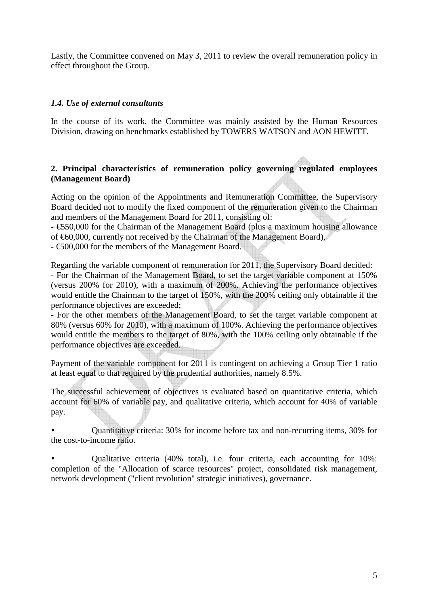Lastly, the Committee convened on May 3, 2011 to review the overall remuneration policy in effect throughout the Group.

### *1.4. Use of external consultants*

In the course of its work, the Committee was mainly assisted by the Human Resources Division, drawing on benchmarks established by TOWERS WATSON and AON HEWITT.

#### **2. Principal characteristics of remuneration policy governing regulated employees (Management Board)**

Acting on the opinion of the Appointments and Remuneration Committee, the Supervisory Board decided not to modify the fixed component of the remuneration given to the Chairman and members of the Management Board for 2011, consisting of:

- €550,000 for the Chairman of the Management Board (plus a maximum housing allowance of  $\epsilon$ 60,000, currently not received by the Chairman of the Management Board),

- €500,000 for the members of the Management Board.

Regarding the variable component of remuneration for 2011, the Supervisory Board decided:

- For the Chairman of the Management Board, to set the target variable component at 150% (versus 200% for 2010), with a maximum of 200%. Achieving the performance objectives would entitle the Chairman to the target of 150%, with the 200% ceiling only obtainable if the performance objectives are exceeded;

- For the other members of the Management Board, to set the target variable component at 80% (versus 60% for 2010), with a maximum of 100%. Achieving the performance objectives would entitle the members to the target of 80%, with the 100% ceiling only obtainable if the performance objectives are exceeded.

Payment of the variable component for 2011 is contingent on achieving a Group Tier 1 ratio at least equal to that required by the prudential authorities, namely 8.5%.

The successful achievement of objectives is evaluated based on quantitative criteria, which account for 60% of variable pay, and qualitative criteria, which account for 40% of variable pay.

- Quantitative criteria: 30% for income before tax and non-recurring items, 30% for the cost-to-income ratio.

- Qualitative criteria (40% total), i.e. four criteria, each accounting for 10%: completion of the "Allocation of scarce resources" project, consolidated risk management, network development ("client revolution" strategic initiatives), governance.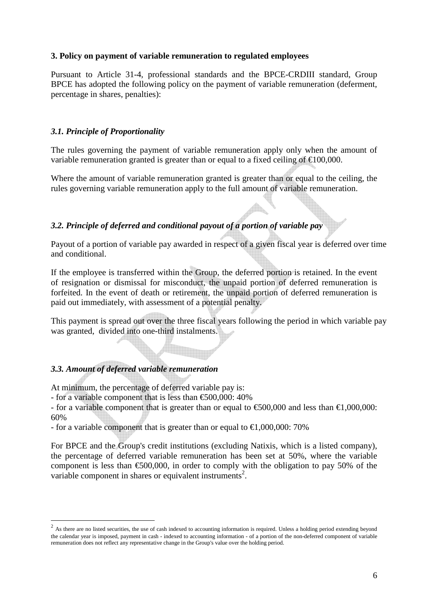#### **3. Policy on payment of variable remuneration to regulated employees**

Pursuant to Article 31-4, professional standards and the BPCE-CRDIII standard, Group BPCE has adopted the following policy on the payment of variable remuneration (deferment, percentage in shares, penalties):

#### *3.1. Principle of Proportionality*

The rules governing the payment of variable remuneration apply only when the amount of variable remuneration granted is greater than or equal to a fixed ceiling of  $\epsilon$ 100,000.

Where the amount of variable remuneration granted is greater than or equal to the ceiling, the rules governing variable remuneration apply to the full amount of variable remuneration.

## *3.2. Principle of deferred and conditional payout of a portion of variable pay*

Payout of a portion of variable pay awarded in respect of a given fiscal year is deferred over time and conditional.

If the employee is transferred within the Group, the deferred portion is retained. In the event of resignation or dismissal for misconduct, the unpaid portion of deferred remuneration is forfeited. In the event of death or retirement, the unpaid portion of deferred remuneration is paid out immediately, with assessment of a potential penalty.

This payment is spread out over the three fiscal years following the period in which variable pay was granted, divided into one-third instalments.

### *3.3. Amount of deferred variable remuneration*

At minimum, the percentage of deferred variable pay is:

- for a variable component that is less than  $\epsilon$ 500,000: 40%

- for a variable component that is greater than or equal to  $\epsilon$ 500,000 and less than  $\epsilon$ 1,000,000: 60%

- for a variable component that is greater than or equal to  $\epsilon$ 1,000,000: 70%

For BPCE and the Group's credit institutions (excluding Natixis, which is a listed company), the percentage of deferred variable remuneration has been set at 50%, where the variable component is less than  $\epsilon$ 500,000, in order to comply with the obligation to pay 50% of the variable component in shares or equivalent instruments<sup>2</sup>.

<sup>&</sup>lt;sup>2</sup> As there are no listed securities, the use of cash indexed to accounting information is required. Unless a holding period extending beyond the calendar year is imposed, payment in cash - indexed to accounting information - of a portion of the non-deferred component of variable remuneration does not reflect any representative change in the Group's value over the holding period.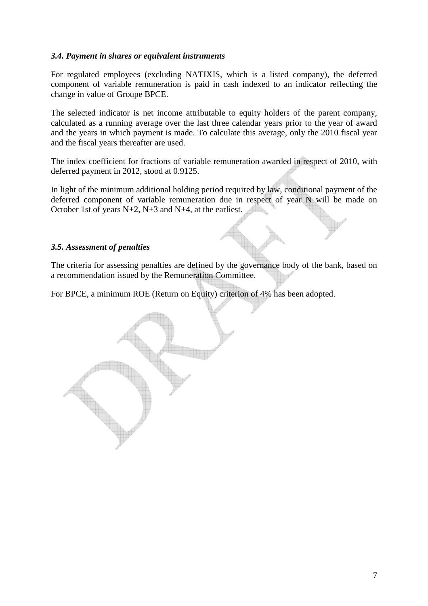### *3.4. Payment in shares or equivalent instruments*

For regulated employees (excluding NATIXIS, which is a listed company), the deferred component of variable remuneration is paid in cash indexed to an indicator reflecting the change in value of Groupe BPCE.

The selected indicator is net income attributable to equity holders of the parent company, calculated as a running average over the last three calendar years prior to the year of award and the years in which payment is made. To calculate this average, only the 2010 fiscal year and the fiscal years thereafter are used.

The index coefficient for fractions of variable remuneration awarded in respect of 2010, with deferred payment in 2012, stood at 0.9125.

In light of the minimum additional holding period required by law, conditional payment of the deferred component of variable remuneration due in respect of year N will be made on October 1st of years N+2, N+3 and N+4, at the earliest.

### *3.5. Assessment of penalties*

The criteria for assessing penalties are defined by the governance body of the bank, based on a recommendation issued by the Remuneration Committee.

For BPCE, a minimum ROE (Return on Equity) criterion of 4% has been adopted.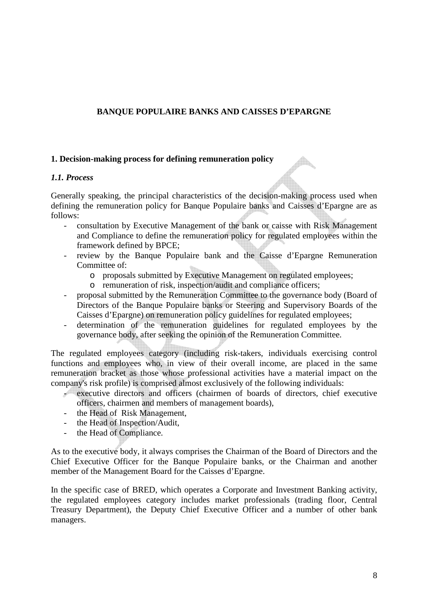## **BANQUE POPULAIRE BANKS AND CAISSES D'EPARGNE**

#### **1. Decision-making process for defining remuneration policy**

#### *1.1. Process*

Generally speaking, the principal characteristics of the decision-making process used when defining the remuneration policy for Banque Populaire banks and Caisses d'Epargne are as follows:

- consultation by Executive Management of the bank or caisse with Risk Management and Compliance to define the remuneration policy for regulated employees within the framework defined by BPCE;
- review by the Banque Populaire bank and the Caisse d'Epargne Remuneration Committee of:
	- o proposals submitted by Executive Management on regulated employees;
	- o remuneration of risk, inspection/audit and compliance officers;
- proposal submitted by the Remuneration Committee to the governance body (Board of Directors of the Banque Populaire banks or Steering and Supervisory Boards of the Caisses d'Epargne) on remuneration policy guidelines for regulated employees;
- determination of the remuneration guidelines for regulated employees by the governance body, after seeking the opinion of the Remuneration Committee.

The regulated employees category (including risk-takers, individuals exercising control functions and employees who, in view of their overall income, are placed in the same remuneration bracket as those whose professional activities have a material impact on the company's risk profile) is comprised almost exclusively of the following individuals:

- executive directors and officers (chairmen of boards of directors, chief executive officers, chairmen and members of management boards),
- the Head of Risk Management,
- the Head of Inspection/Audit,
- the Head of Compliance.

As to the executive body, it always comprises the Chairman of the Board of Directors and the Chief Executive Officer for the Banque Populaire banks, or the Chairman and another member of the Management Board for the Caisses d'Epargne.

In the specific case of BRED, which operates a Corporate and Investment Banking activity, the regulated employees category includes market professionals (trading floor, Central Treasury Department), the Deputy Chief Executive Officer and a number of other bank managers.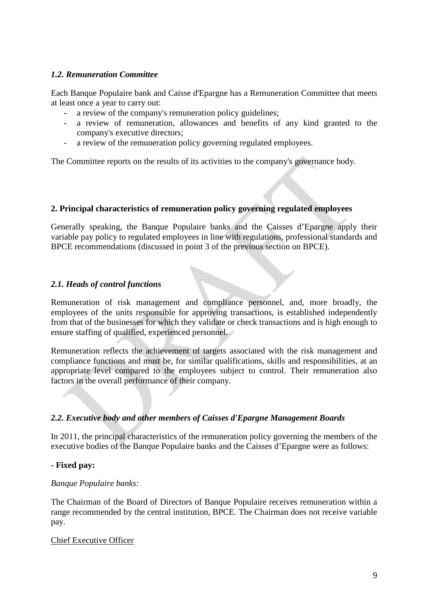### *1.2. Remuneration Committee*

Each Banque Populaire bank and Caisse d'Epargne has a Remuneration Committee that meets at least once a year to carry out:

- a review of the company's remuneration policy guidelines;
- a review of remuneration, allowances and benefits of any kind granted to the company's executive directors;
- a review of the remuneration policy governing regulated employees.

The Committee reports on the results of its activities to the company's governance body.

### **2. Principal characteristics of remuneration policy governing regulated employees**

Generally speaking, the Banque Populaire banks and the Caisses d'Epargne apply their variable pay policy to regulated employees in line with regulations, professional standards and BPCE recommendations (discussed in point 3 of the previous section on BPCE).

#### *2.1. Heads of control functions*

Remuneration of risk management and compliance personnel, and, more broadly, the employees of the units responsible for approving transactions, is established independently from that of the businesses for which they validate or check transactions and is high enough to ensure staffing of qualified, experienced personnel.

Remuneration reflects the achievement of targets associated with the risk management and compliance functions and must be, for similar qualifications, skills and responsibilities, at an appropriate level compared to the employees subject to control. Their remuneration also factors in the overall performance of their company.

### *2.2. Executive body and other members of Caisses d'Epargne Management Boards*

In 2011, the principal characteristics of the remuneration policy governing the members of the executive bodies of the Banque Populaire banks and the Caisses d'Epargne were as follows:

#### **- Fixed pay:**

#### *Banque Populaire banks:*

The Chairman of the Board of Directors of Banque Populaire receives remuneration within a range recommended by the central institution, BPCE. The Chairman does not receive variable pay.

#### Chief Executive Officer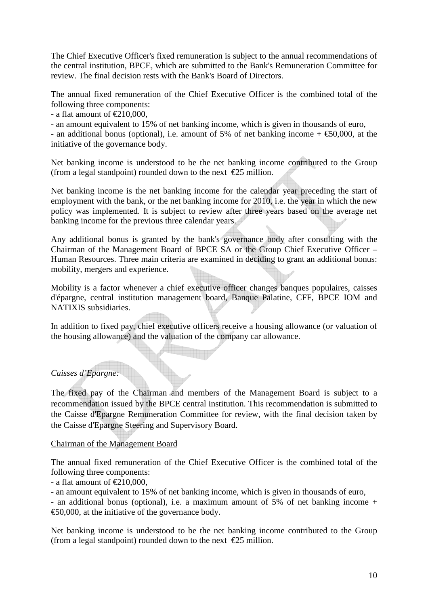The Chief Executive Officer's fixed remuneration is subject to the annual recommendations of the central institution, BPCE, which are submitted to the Bank's Remuneration Committee for review. The final decision rests with the Bank's Board of Directors.

The annual fixed remuneration of the Chief Executive Officer is the combined total of the following three components:

- a flat amount of  $\text{\textsterling}210,000$ ,

- an amount equivalent to 15% of net banking income, which is given in thousands of euro,

- an additional bonus (optional), i.e. amount of 5% of net banking income +  $\epsilon$ 50,000, at the initiative of the governance body.

Net banking income is understood to be the net banking income contributed to the Group (from a legal standpoint) rounded down to the next  $\epsilon$ 25 million.

Net banking income is the net banking income for the calendar year preceding the start of employment with the bank, or the net banking income for 2010, i.e. the year in which the new policy was implemented. It is subject to review after three years based on the average net banking income for the previous three calendar years.

Any additional bonus is granted by the bank's governance body after consulting with the Chairman of the Management Board of BPCE SA or the Group Chief Executive Officer – Human Resources. Three main criteria are examined in deciding to grant an additional bonus: mobility, mergers and experience.

Mobility is a factor whenever a chief executive officer changes banques populaires, caisses d'épargne, central institution management board, Banque Palatine, CFF, BPCE IOM and NATIXIS subsidiaries.

In addition to fixed pay, chief executive officers receive a housing allowance (or valuation of the housing allowance) and the valuation of the company car allowance.

### *Caisses d'Epargne:*

The fixed pay of the Chairman and members of the Management Board is subject to a recommendation issued by the BPCE central institution. This recommendation is submitted to the Caisse d'Epargne Remuneration Committee for review, with the final decision taken by the Caisse d'Epargne Steering and Supervisory Board.

#### Chairman of the Management Board

The annual fixed remuneration of the Chief Executive Officer is the combined total of the following three components:

- a flat amount of  $\text{\textsterling}210,000$ ,

- an amount equivalent to 15% of net banking income, which is given in thousands of euro,

- an additional bonus (optional), i.e. a maximum amount of 5% of net banking income +  $\epsilon$ 50,000, at the initiative of the governance body.

Net banking income is understood to be the net banking income contributed to the Group (from a legal standpoint) rounded down to the next  $\epsilon$ 25 million.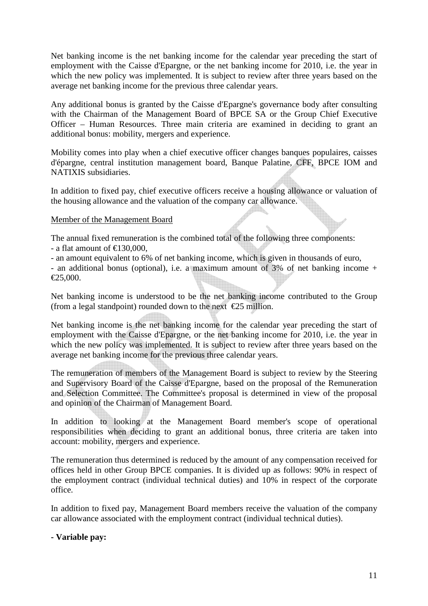Net banking income is the net banking income for the calendar year preceding the start of employment with the Caisse d'Epargne, or the net banking income for 2010, i.e. the year in which the new policy was implemented. It is subject to review after three years based on the average net banking income for the previous three calendar years.

Any additional bonus is granted by the Caisse d'Epargne's governance body after consulting with the Chairman of the Management Board of BPCE SA or the Group Chief Executive Officer – Human Resources. Three main criteria are examined in deciding to grant an additional bonus: mobility, mergers and experience.

Mobility comes into play when a chief executive officer changes banques populaires, caisses d'épargne, central institution management board, Banque Palatine, CFF, BPCE IOM and NATIXIS subsidiaries.

In addition to fixed pay, chief executive officers receive a housing allowance or valuation of the housing allowance and the valuation of the company car allowance.

#### Member of the Management Board

The annual fixed remuneration is the combined total of the following three components: - a flat amount of  $\text{£}130,000$ ,

- an amount equivalent to 6% of net banking income, which is given in thousands of euro.

- an additional bonus (optional), i.e. a maximum amount of 3% of net banking income +  $€25,000.$ 

Net banking income is understood to be the net banking income contributed to the Group (from a legal standpoint) rounded down to the next  $\epsilon$ 25 million.

Net banking income is the net banking income for the calendar year preceding the start of employment with the Caisse d'Epargne, or the net banking income for 2010, i.e. the year in which the new policy was implemented. It is subject to review after three years based on the average net banking income for the previous three calendar years.

The remuneration of members of the Management Board is subject to review by the Steering and Supervisory Board of the Caisse d'Epargne, based on the proposal of the Remuneration and Selection Committee. The Committee's proposal is determined in view of the proposal and opinion of the Chairman of Management Board.

In addition to looking at the Management Board member's scope of operational responsibilities when deciding to grant an additional bonus, three criteria are taken into account: mobility, mergers and experience.

The remuneration thus determined is reduced by the amount of any compensation received for offices held in other Group BPCE companies. It is divided up as follows: 90% in respect of the employment contract (individual technical duties) and 10% in respect of the corporate office.

In addition to fixed pay, Management Board members receive the valuation of the company car allowance associated with the employment contract (individual technical duties).

#### **- Variable pay:**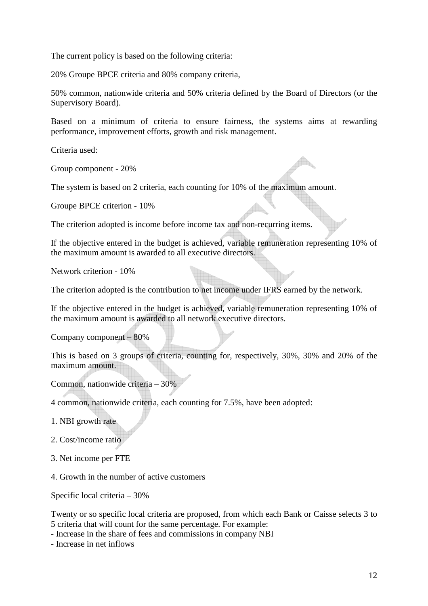The current policy is based on the following criteria:

20% Groupe BPCE criteria and 80% company criteria,

50% common, nationwide criteria and 50% criteria defined by the Board of Directors (or the Supervisory Board).

Based on a minimum of criteria to ensure fairness, the systems aims at rewarding performance, improvement efforts, growth and risk management.

Criteria used:

Group component - 20%

The system is based on 2 criteria, each counting for 10% of the maximum amount.

Groupe BPCE criterion - 10%

The criterion adopted is income before income tax and non-recurring items.

If the objective entered in the budget is achieved, variable remuneration representing 10% of the maximum amount is awarded to all executive directors.

Network criterion - 10%

The criterion adopted is the contribution to net income under IFRS earned by the network.

If the objective entered in the budget is achieved, variable remuneration representing 10% of the maximum amount is awarded to all network executive directors.

Company component – 80%

This is based on 3 groups of criteria, counting for, respectively, 30%, 30% and 20% of the maximum amount.

Common, nationwide criteria – 30%

4 common, nationwide criteria, each counting for 7.5%, have been adopted:

1. NBI growth rate

2. Cost/income ratio

3. Net income per FTE

4. Growth in the number of active customers

Specific local criteria – 30%

Twenty or so specific local criteria are proposed, from which each Bank or Caisse selects 3 to 5 criteria that will count for the same percentage. For example:

- Increase in the share of fees and commissions in company NBI

- Increase in net inflows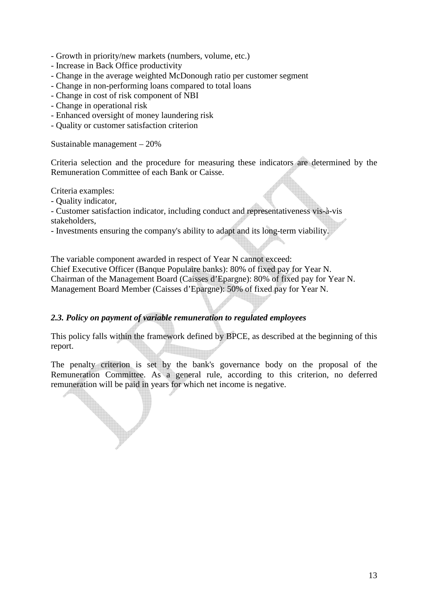- Growth in priority/new markets (numbers, volume, etc.)
- Increase in Back Office productivity
- Change in the average weighted McDonough ratio per customer segment
- Change in non-performing loans compared to total loans
- Change in cost of risk component of NBI
- Change in operational risk
- Enhanced oversight of money laundering risk
- Quality or customer satisfaction criterion

Sustainable management – 20%

Criteria selection and the procedure for measuring these indicators are determined by the Remuneration Committee of each Bank or Caisse.

Criteria examples:

- Quality indicator,

- Customer satisfaction indicator, including conduct and representativeness vis-à-vis stakeholders,

- Investments ensuring the company's ability to adapt and its long-term viability.

The variable component awarded in respect of Year N cannot exceed: Chief Executive Officer (Banque Populaire banks): 80% of fixed pay for Year N. Chairman of the Management Board (Caisses d'Epargne): 80% of fixed pay for Year N. Management Board Member (Caisses d'Epargne): 50% of fixed pay for Year N.

### *2.3. Policy on payment of variable remuneration to regulated employees*

This policy falls within the framework defined by BPCE, as described at the beginning of this report.

The penalty criterion is set by the bank's governance body on the proposal of the Remuneration Committee. As a general rule, according to this criterion, no deferred remuneration will be paid in years for which net income is negative.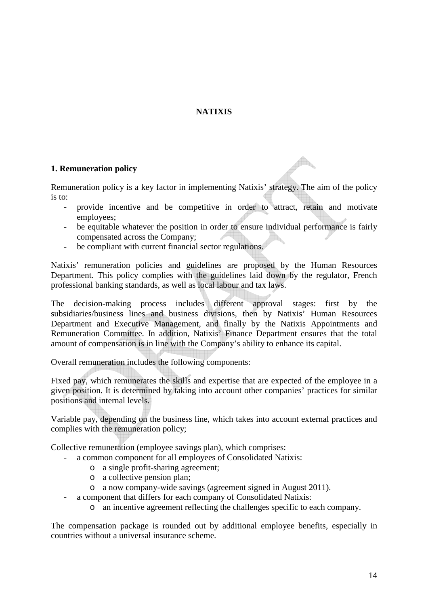## **NATIXIS**

### **1. Remuneration policy**

Remuneration policy is a key factor in implementing Natixis' strategy. The aim of the policy is to:

- provide incentive and be competitive in order to attract, retain and motivate employees;

 $\triangle$ 

- be equitable whatever the position in order to ensure individual performance is fairly compensated across the Company;
- be compliant with current financial sector regulations.

Natixis' remuneration policies and guidelines are proposed by the Human Resources Department. This policy complies with the guidelines laid down by the regulator, French professional banking standards, as well as local labour and tax laws.

The decision-making process includes different approval stages: first by the subsidiaries/business lines and business divisions, then by Natixis' Human Resources Department and Executive Management, and finally by the Natixis Appointments and Remuneration Committee. In addition, Natixis' Finance Department ensures that the total amount of compensation is in line with the Company's ability to enhance its capital.

Overall remuneration includes the following components:

Fixed pay, which remunerates the skills and expertise that are expected of the employee in a given position. It is determined by taking into account other companies' practices for similar positions and internal levels.

Variable pay, depending on the business line, which takes into account external practices and complies with the remuneration policy;

Collective remuneration (employee savings plan), which comprises:

- a common component for all employees of Consolidated Natixis:
	- o a single profit-sharing agreement;
	- o a collective pension plan;
	- o a now company-wide savings (agreement signed in August 2011).
- a component that differs for each company of Consolidated Natixis:
	- o an incentive agreement reflecting the challenges specific to each company.

The compensation package is rounded out by additional employee benefits, especially in countries without a universal insurance scheme.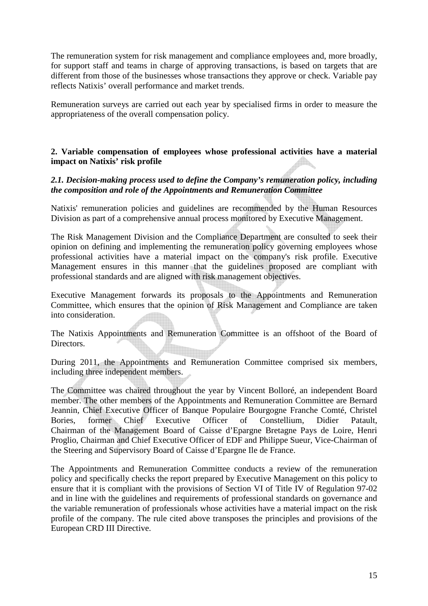The remuneration system for risk management and compliance employees and, more broadly, for support staff and teams in charge of approving transactions, is based on targets that are different from those of the businesses whose transactions they approve or check. Variable pay reflects Natixis' overall performance and market trends.

Remuneration surveys are carried out each year by specialised firms in order to measure the appropriateness of the overall compensation policy.

#### **2. Variable compensation of employees whose professional activities have a material impact on Natixis' risk profile**

### *2.1. Decision-making process used to define the Company's remuneration policy, including the composition and role of the Appointments and Remuneration Committee*

Natixis' remuneration policies and guidelines are recommended by the Human Resources Division as part of a comprehensive annual process monitored by Executive Management.

The Risk Management Division and the Compliance Department are consulted to seek their opinion on defining and implementing the remuneration policy governing employees whose professional activities have a material impact on the company's risk profile. Executive Management ensures in this manner that the guidelines proposed are compliant with professional standards and are aligned with risk management objectives.

Executive Management forwards its proposals to the Appointments and Remuneration Committee, which ensures that the opinion of Risk Management and Compliance are taken into consideration.

The Natixis Appointments and Remuneration Committee is an offshoot of the Board of Directors.

During 2011, the Appointments and Remuneration Committee comprised six members, including three independent members.

The Committee was chaired throughout the year by Vincent Bolloré, an independent Board member. The other members of the Appointments and Remuneration Committee are Bernard Jeannin, Chief Executive Officer of Banque Populaire Bourgogne Franche Comté, Christel<br>Bories. former Chief Executive Officer of Constellium. Didier Patault. Bories, former Chief Executive Officer of Constellium, Didier Patault, Chairman of the Management Board of Caisse d'Epargne Bretagne Pays de Loire, Henri Proglio, Chairman and Chief Executive Officer of EDF and Philippe Sueur, Vice-Chairman of the Steering and Supervisory Board of Caisse d'Epargne Ile de France.

The Appointments and Remuneration Committee conducts a review of the remuneration policy and specifically checks the report prepared by Executive Management on this policy to ensure that it is compliant with the provisions of Section VI of Title IV of Regulation 97-02 and in line with the guidelines and requirements of professional standards on governance and the variable remuneration of professionals whose activities have a material impact on the risk profile of the company. The rule cited above transposes the principles and provisions of the European CRD III Directive.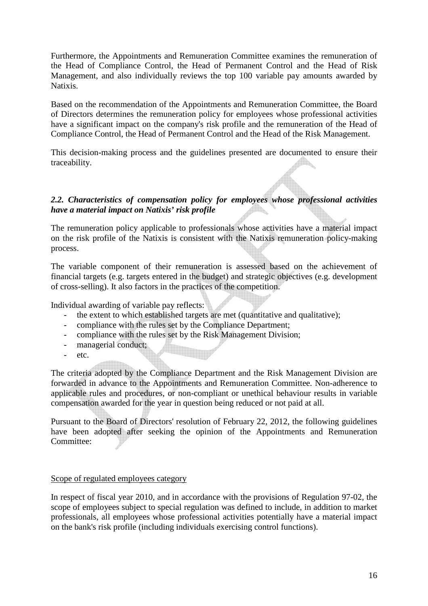Furthermore, the Appointments and Remuneration Committee examines the remuneration of the Head of Compliance Control, the Head of Permanent Control and the Head of Risk Management, and also individually reviews the top 100 variable pay amounts awarded by Natixis.

Based on the recommendation of the Appointments and Remuneration Committee, the Board of Directors determines the remuneration policy for employees whose professional activities have a significant impact on the company's risk profile and the remuneration of the Head of Compliance Control, the Head of Permanent Control and the Head of the Risk Management.

This decision-making process and the guidelines presented are documented to ensure their traceability.

### *2.2. Characteristics of compensation policy for employees whose professional activities have a material impact on Natixis' risk profile*

The remuneration policy applicable to professionals whose activities have a material impact on the risk profile of the Natixis is consistent with the Natixis remuneration policy-making process.

The variable component of their remuneration is assessed based on the achievement of financial targets (e.g. targets entered in the budget) and strategic objectives (e.g. development of cross-selling). It also factors in the practices of the competition.

Individual awarding of variable pay reflects:

- the extent to which established targets are met (quantitative and qualitative);
- compliance with the rules set by the Compliance Department;
- compliance with the rules set by the Risk Management Division;
- managerial conduct;
- etc.

The criteria adopted by the Compliance Department and the Risk Management Division are forwarded in advance to the Appointments and Remuneration Committee. Non-adherence to applicable rules and procedures, or non-compliant or unethical behaviour results in variable compensation awarded for the year in question being reduced or not paid at all.

Pursuant to the Board of Directors' resolution of February 22, 2012, the following guidelines have been adopted after seeking the opinion of the Appointments and Remuneration Committee:

#### Scope of regulated employees category

In respect of fiscal year 2010, and in accordance with the provisions of Regulation 97-02, the scope of employees subject to special regulation was defined to include, in addition to market professionals, all employees whose professional activities potentially have a material impact on the bank's risk profile (including individuals exercising control functions).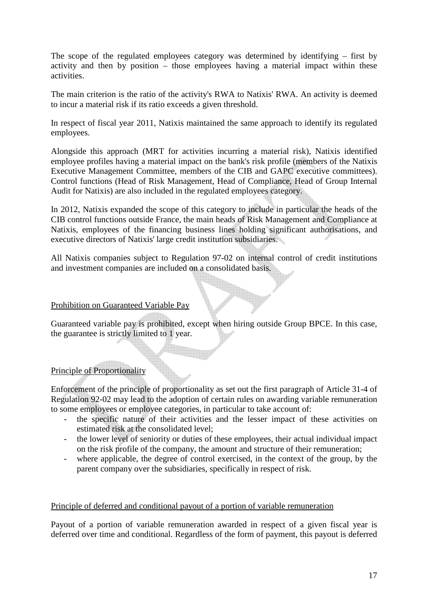The scope of the regulated employees category was determined by identifying – first by activity and then by position – those employees having a material impact within these activities.

The main criterion is the ratio of the activity's RWA to Natixis' RWA. An activity is deemed to incur a material risk if its ratio exceeds a given threshold.

In respect of fiscal year 2011, Natixis maintained the same approach to identify its regulated employees.

Alongside this approach (MRT for activities incurring a material risk), Natixis identified employee profiles having a material impact on the bank's risk profile (members of the Natixis Executive Management Committee, members of the CIB and GAPC executive committees). Control functions (Head of Risk Management, Head of Compliance, Head of Group Internal Audit for Natixis) are also included in the regulated employees category.

In 2012, Natixis expanded the scope of this category to include in particular the heads of the CIB control functions outside France, the main heads of Risk Management and Compliance at Natixis, employees of the financing business lines holding significant authorisations, and executive directors of Natixis' large credit institution subsidiaries.

All Natixis companies subject to Regulation 97-02 on internal control of credit institutions and investment companies are included on a consolidated basis.

## Prohibition on Guaranteed Variable Pay

Guaranteed variable pay is prohibited, except when hiring outside Group BPCE. In this case, the guarantee is strictly limited to 1 year.

### Principle of Proportionality

Enforcement of the principle of proportionality as set out the first paragraph of Article 31-4 of Regulation 92-02 may lead to the adoption of certain rules on awarding variable remuneration to some employees or employee categories, in particular to take account of:

- the specific nature of their activities and the lesser impact of these activities on estimated risk at the consolidated level;
- the lower level of seniority or duties of these employees, their actual individual impact on the risk profile of the company, the amount and structure of their remuneration;
- where applicable, the degree of control exercised, in the context of the group, by the parent company over the subsidiaries, specifically in respect of risk.

#### Principle of deferred and conditional payout of a portion of variable remuneration

Payout of a portion of variable remuneration awarded in respect of a given fiscal year is deferred over time and conditional. Regardless of the form of payment, this payout is deferred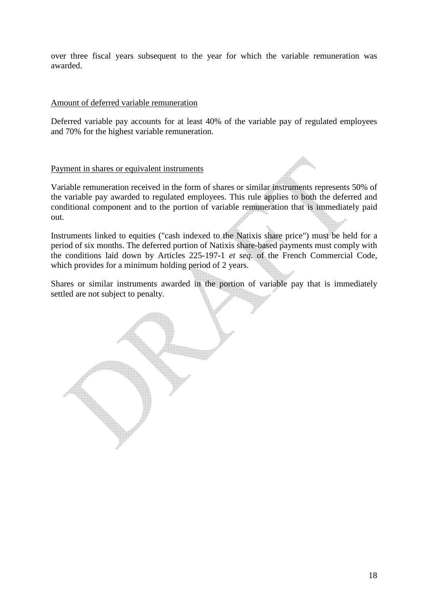over three fiscal years subsequent to the year for which the variable remuneration was awarded.

#### Amount of deferred variable remuneration

Deferred variable pay accounts for at least 40% of the variable pay of regulated employees and 70% for the highest variable remuneration.

#### Payment in shares or equivalent instruments

Variable remuneration received in the form of shares or similar instruments represents 50% of the variable pay awarded to regulated employees. This rule applies to both the deferred and conditional component and to the portion of variable remuneration that is immediately paid out.

Instruments linked to equities ("cash indexed to the Natixis share price") must be held for a period of six months. The deferred portion of Natixis share-based payments must comply with the conditions laid down by Articles 225-197-1 *et seq.* of the French Commercial Code, which provides for a minimum holding period of 2 years.

Shares or similar instruments awarded in the portion of variable pay that is immediately settled are not subject to penalty.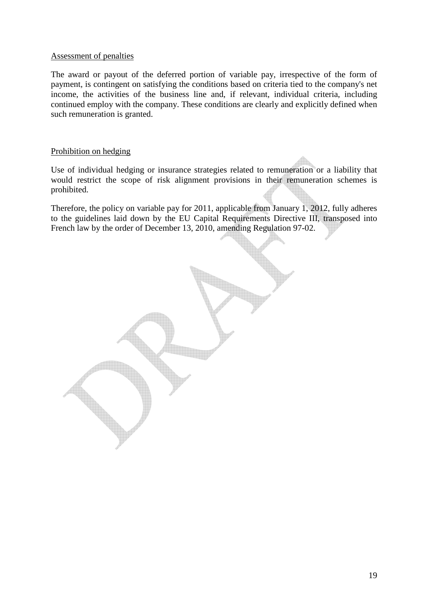#### Assessment of penalties

The award or payout of the deferred portion of variable pay, irrespective of the form of payment, is contingent on satisfying the conditions based on criteria tied to the company's net income, the activities of the business line and, if relevant, individual criteria, including continued employ with the company. These conditions are clearly and explicitly defined when such remuneration is granted.

#### Prohibition on hedging

Use of individual hedging or insurance strategies related to remuneration or a liability that would restrict the scope of risk alignment provisions in their remuneration schemes is prohibited.

Therefore, the policy on variable pay for 2011, applicable from January 1, 2012, fully adheres to the guidelines laid down by the EU Capital Requirements Directive III, transposed into French law by the order of December 13, 2010, amending Regulation 97-02.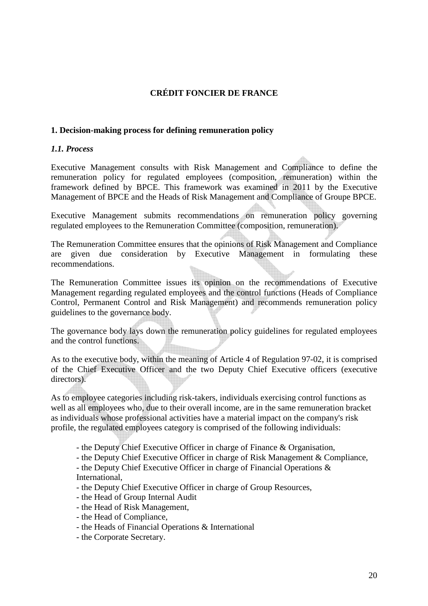## **CRÉDIT FONCIER DE FRANCE**

#### **1. Decision-making process for defining remuneration policy**

#### *1.1. Process*

Executive Management consults with Risk Management and Compliance to define the remuneration policy for regulated employees (composition, remuneration) within the framework defined by BPCE. This framework was examined in 2011 by the Executive Management of BPCE and the Heads of Risk Management and Compliance of Groupe BPCE.

Executive Management submits recommendations on remuneration policy governing regulated employees to the Remuneration Committee (composition, remuneration).

The Remuneration Committee ensures that the opinions of Risk Management and Compliance are given due consideration by Executive Management in formulating these recommendations.

The Remuneration Committee issues its opinion on the recommendations of Executive Management regarding regulated employees and the control functions (Heads of Compliance Control, Permanent Control and Risk Management) and recommends remuneration policy guidelines to the governance body.

The governance body lays down the remuneration policy guidelines for regulated employees and the control functions.

As to the executive body, within the meaning of Article 4 of Regulation 97-02, it is comprised of the Chief Executive Officer and the two Deputy Chief Executive officers (executive directors).

As to employee categories including risk-takers, individuals exercising control functions as well as all employees who, due to their overall income, are in the same remuneration bracket as individuals whose professional activities have a material impact on the company's risk profile, the regulated employees category is comprised of the following individuals:

- the Deputy Chief Executive Officer in charge of Finance & Organisation,
- the Deputy Chief Executive Officer in charge of Risk Management & Compliance,
- the Deputy Chief Executive Officer in charge of Financial Operations & International,
- the Deputy Chief Executive Officer in charge of Group Resources,
- the Head of Group Internal Audit
- the Head of Risk Management,
- the Head of Compliance,
- the Heads of Financial Operations & International
- the Corporate Secretary.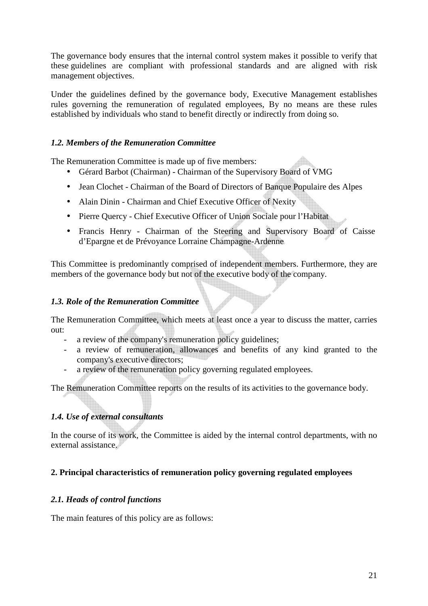The governance body ensures that the internal control system makes it possible to verify that these guidelines are compliant with professional standards and are aligned with risk management objectives.

Under the guidelines defined by the governance body, Executive Management establishes rules governing the remuneration of regulated employees, By no means are these rules established by individuals who stand to benefit directly or indirectly from doing so.

## *1.2. Members of the Remuneration Committee*

The Remuneration Committee is made up of five members:

- Gérard Barbot (Chairman) Chairman of the Supervisory Board of VMG
- Jean Clochet Chairman of the Board of Directors of Banque Populaire des Alpes
- Alain Dinin Chairman and Chief Executive Officer of Nexity
- Pierre Quercy Chief Executive Officer of Union Sociale pour l'Habitat
- Francis Henry Chairman of the Steering and Supervisory Board of Caisse d'Epargne et de Prévoyance Lorraine Champagne-Ardenne

This Committee is predominantly comprised of independent members. Furthermore, they are members of the governance body but not of the executive body of the company.

### *1.3. Role of the Remuneration Committee*

The Remuneration Committee, which meets at least once a year to discuss the matter, carries out:

- a review of the company's remuneration policy guidelines;
- a review of remuneration, allowances and benefits of any kind granted to the company's executive directors;
- a review of the remuneration policy governing regulated employees.

The Remuneration Committee reports on the results of its activities to the governance body.

## *1.4. Use of external consultants*

In the course of its work, the Committee is aided by the internal control departments, with no external assistance.

## **2. Principal characteristics of remuneration policy governing regulated employees**

### *2.1. Heads of control functions*

The main features of this policy are as follows: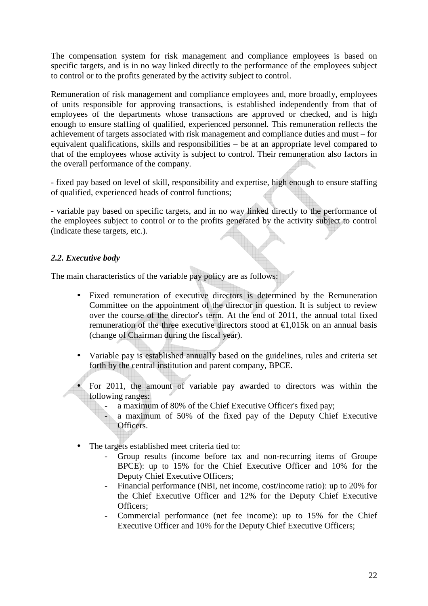The compensation system for risk management and compliance employees is based on specific targets, and is in no way linked directly to the performance of the employees subject to control or to the profits generated by the activity subject to control.

Remuneration of risk management and compliance employees and, more broadly, employees of units responsible for approving transactions, is established independently from that of employees of the departments whose transactions are approved or checked, and is high enough to ensure staffing of qualified, experienced personnel. This remuneration reflects the achievement of targets associated with risk management and compliance duties and must – for equivalent qualifications, skills and responsibilities – be at an appropriate level compared to that of the employees whose activity is subject to control. Their remuneration also factors in the overall performance of the company.

- fixed pay based on level of skill, responsibility and expertise, high enough to ensure staffing of qualified, experienced heads of control functions;

- variable pay based on specific targets, and in no way linked directly to the performance of the employees subject to control or to the profits generated by the activity subject to control (indicate these targets, etc.).

#### *2.2. Executive body*

The main characteristics of the variable pay policy are as follows:

- Fixed remuneration of executive directors is determined by the Remuneration Committee on the appointment of the director in question. It is subject to review over the course of the director's term. At the end of 2011, the annual total fixed remuneration of the three executive directors stood at  $\epsilon$ 1.015k on an annual basis (change of Chairman during the fiscal year).
- Variable pay is established annually based on the guidelines, rules and criteria set forth by the central institution and parent company, BPCE.

• For 2011, the amount of variable pay awarded to directors was within the following ranges:

- a maximum of 80% of the Chief Executive Officer's fixed pay:
- a maximum of 50% of the fixed pay of the Deputy Chief Executive Officers.
- The targets established meet criteria tied to:
	- Group results (income before tax and non-recurring items of Groupe BPCE): up to 15% for the Chief Executive Officer and 10% for the Deputy Chief Executive Officers;
	- Financial performance (NBI, net income, cost/income ratio): up to 20% for the Chief Executive Officer and 12% for the Deputy Chief Executive Officers;
	- Commercial performance (net fee income): up to 15% for the Chief Executive Officer and 10% for the Deputy Chief Executive Officers;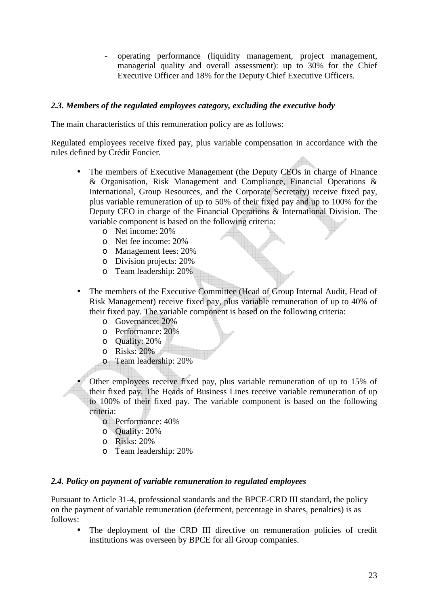- operating performance (liquidity management, project management, managerial quality and overall assessment): up to 30% for the Chief Executive Officer and 18% for the Deputy Chief Executive Officers.

#### *2.3. Members of the regulated employees category, excluding the executive body*

The main characteristics of this remuneration policy are as follows:

Regulated employees receive fixed pay, plus variable compensation in accordance with the rules defined by Crédit Foncier.

- The members of Executive Management (the Deputy CEOs in charge of Finance & Organisation, Risk Management and Compliance, Financial Operations & International, Group Resources, and the Corporate Secretary) receive fixed pay, plus variable remuneration of up to 50% of their fixed pay and up to 100% for the Deputy CEO in charge of the Financial Operations & International Division. The variable component is based on the following criteria:
	- o Net income: 20%
	- o Net fee income: 20%
	- o Management fees: 20%
	- o Division projects: 20%
	- o Team leadership: 20%
- The members of the Executive Committee (Head of Group Internal Audit, Head of Risk Management) receive fixed pay, plus variable remuneration of up to 40% of their fixed pay. The variable component is based on the following criteria:
	- o Governance: 20%
	- o Performance: 20%
	- o Quality: 20%
	- o Risks: 20%
	- o Team leadership: 20%

• Other employees receive fixed pay, plus variable remuneration of up to 15% of their fixed pay. The Heads of Business Lines receive variable remuneration of up to 100% of their fixed pay. The variable component is based on the following criteria:

- o Performance: 40%
- o Quality: 20%
- o Risks: 20%
- o Team leadership: 20%

#### *2.4. Policy on payment of variable remuneration to regulated employees*

Pursuant to Article 31-4, professional standards and the BPCE-CRD III standard, the policy on the payment of variable remuneration (deferment, percentage in shares, penalties) is as follows:

The deployment of the CRD III directive on remuneration policies of credit institutions was overseen by BPCE for all Group companies.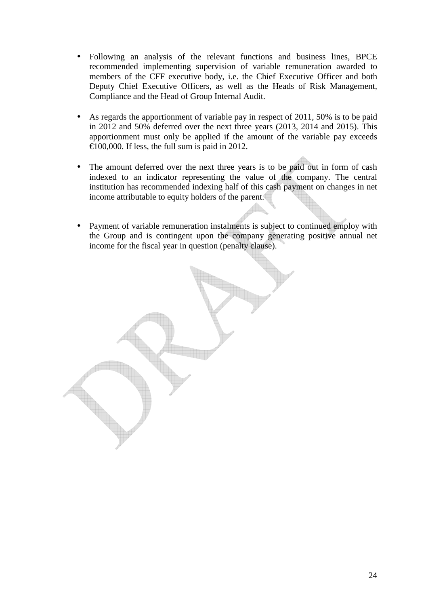- Following an analysis of the relevant functions and business lines, BPCE recommended implementing supervision of variable remuneration awarded to members of the CFF executive body, i.e. the Chief Executive Officer and both Deputy Chief Executive Officers, as well as the Heads of Risk Management, Compliance and the Head of Group Internal Audit.
- As regards the apportionment of variable pay in respect of 2011, 50% is to be paid in 2012 and 50% deferred over the next three years (2013, 2014 and 2015). This apportionment must only be applied if the amount of the variable pay exceeds €100,000. If less, the full sum is paid in 2012.
- The amount deferred over the next three years is to be paid out in form of cash indexed to an indicator representing the value of the company. The central institution has recommended indexing half of this cash payment on changes in net income attributable to equity holders of the parent.
- Payment of variable remuneration instalments is subject to continued employ with the Group and is contingent upon the company generating positive annual net income for the fiscal year in question (penalty clause).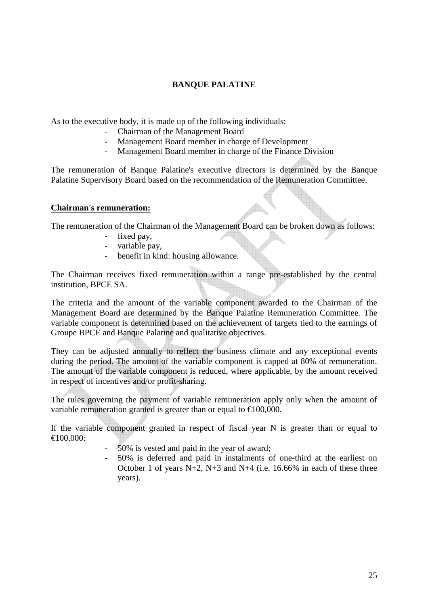## **BANQUE PALATINE**

As to the executive body, it is made up of the following individuals:

- Chairman of the Management Board<br>- Management Board member in charge
- Management Board member in charge of Development
- Management Board member in charge of the Finance Division

The remuneration of Banque Palatine's executive directors is determined by the Banque Palatine Supervisory Board based on the recommendation of the Remuneration Committee.

#### **Chairman's remuneration:**

The remuneration of the Chairman of the Management Board can be broken down as follows:

- fixed pay,
- variable pay,
- benefit in kind: housing allowance.

The Chairman receives fixed remuneration within a range pre-established by the central institution, BPCE SA.

The criteria and the amount of the variable component awarded to the Chairman of the Management Board are determined by the Banque Palatine Remuneration Committee. The variable component is determined based on the achievement of targets tied to the earnings of Groupe BPCE and Banque Palatine and qualitative objectives.

They can be adjusted annually to reflect the business climate and any exceptional events during the period. The amount of the variable component is capped at 80% of remuneration. The amount of the variable component is reduced, where applicable, by the amount received in respect of incentives and/or profit-sharing.

The rules governing the payment of variable remuneration apply only when the amount of variable remuneration granted is greater than or equal to  $\text{\textsterling}100,000$ .

If the variable component granted in respect of fiscal year N is greater than or equal to €100,000:

- 50% is vested and paid in the year of award;
- 50% is deferred and paid in instalments of one-third at the earliest on October 1 of years  $N+2$ ,  $N+3$  and  $N+4$  (i.e. 16.66% in each of these three years).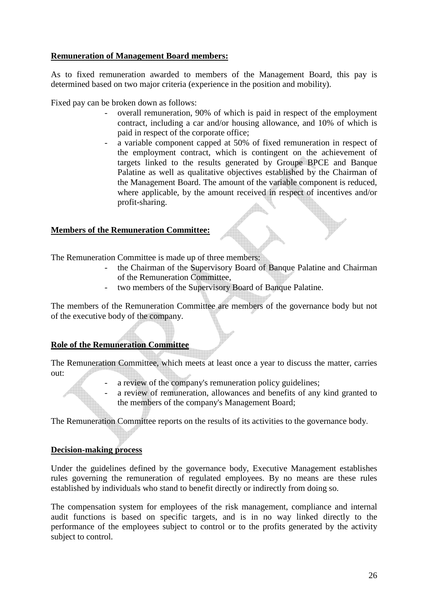## **Remuneration of Management Board members:**

As to fixed remuneration awarded to members of the Management Board, this pay is determined based on two major criteria (experience in the position and mobility).

Fixed pay can be broken down as follows:

- overall remuneration, 90% of which is paid in respect of the employment contract, including a car and/or housing allowance, and 10% of which is paid in respect of the corporate office;
- a variable component capped at 50% of fixed remuneration in respect of the employment contract, which is contingent on the achievement of targets linked to the results generated by Groupe BPCE and Banque Palatine as well as qualitative objectives established by the Chairman of the Management Board. The amount of the variable component is reduced, where applicable, by the amount received in respect of incentives and/or profit-sharing.

### **Members of the Remuneration Committee:**

The Remuneration Committee is made up of three members:

- the Chairman of the Supervisory Board of Banque Palatine and Chairman of the Remuneration Committee,
- two members of the Supervisory Board of Banque Palatine.

The members of the Remuneration Committee are members of the governance body but not of the executive body of the company.

### **Role of the Remuneration Committee**

The Remuneration Committee, which meets at least once a year to discuss the matter, carries out:

- a review of the company's remuneration policy guidelines;
	- a review of remuneration, allowances and benefits of any kind granted to the members of the company's Management Board;

The Remuneration Committee reports on the results of its activities to the governance body.

### **Decision-making process**

Under the guidelines defined by the governance body, Executive Management establishes rules governing the remuneration of regulated employees. By no means are these rules established by individuals who stand to benefit directly or indirectly from doing so.

The compensation system for employees of the risk management, compliance and internal audit functions is based on specific targets, and is in no way linked directly to the performance of the employees subject to control or to the profits generated by the activity subject to control.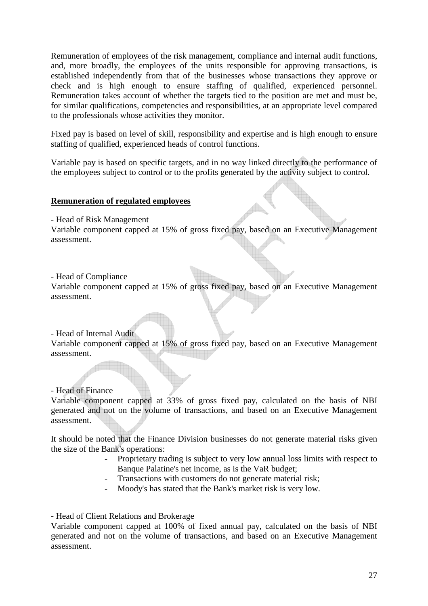Remuneration of employees of the risk management, compliance and internal audit functions, and, more broadly, the employees of the units responsible for approving transactions, is established independently from that of the businesses whose transactions they approve or check and is high enough to ensure staffing of qualified, experienced personnel. Remuneration takes account of whether the targets tied to the position are met and must be, for similar qualifications, competencies and responsibilities, at an appropriate level compared to the professionals whose activities they monitor.

Fixed pay is based on level of skill, responsibility and expertise and is high enough to ensure staffing of qualified, experienced heads of control functions.

Variable pay is based on specific targets, and in no way linked directly to the performance of the employees subject to control or to the profits generated by the activity subject to control.

#### **Remuneration of regulated employees**

- Head of Risk Management

Variable component capped at 15% of gross fixed pay, based on an Executive Management assessment.

#### - Head of Compliance

Variable component capped at 15% of gross fixed pay, based on an Executive Management assessment.

#### - Head of Internal Audit

Variable component capped at 15% of gross fixed pay, based on an Executive Management assessment.

### - Head of Finance

Variable component capped at 33% of gross fixed pay, calculated on the basis of NBI generated and not on the volume of transactions, and based on an Executive Management assessment.

It should be noted that the Finance Division businesses do not generate material risks given the size of the Bank's operations:

- Proprietary trading is subject to very low annual loss limits with respect to Banque Palatine's net income, as is the VaR budget;
- Transactions with customers do not generate material risk;
- Moody's has stated that the Bank's market risk is very low.

- Head of Client Relations and Brokerage

Variable component capped at 100% of fixed annual pay, calculated on the basis of NBI generated and not on the volume of transactions, and based on an Executive Management assessment.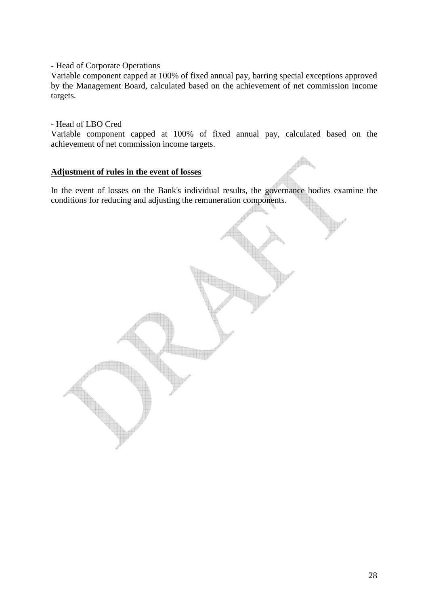- Head of Corporate Operations

Variable component capped at 100% of fixed annual pay, barring special exceptions approved by the Management Board, calculated based on the achievement of net commission income targets.

#### - Head of LBO Cred

Variable component capped at 100% of fixed annual pay, calculated based on the achievement of net commission income targets.

#### **Adjustment of rules in the event of losses**

In the event of losses on the Bank's individual results, the governance bodies examine the conditions for reducing and adjusting the remuneration components.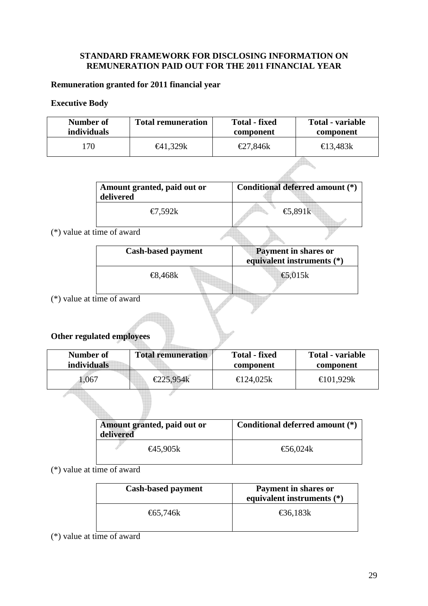## **STANDARD FRAMEWORK FOR DISCLOSING INFORMATION ON REMUNERATION PAID OUT FOR THE 2011 FINANCIAL YEAR**

## **Remuneration granted for 2011 financial year**

## **Executive Body**

| Number of          | <b>Total remuneration</b> | <b>Total - fixed</b> | Total - variable |
|--------------------|---------------------------|----------------------|------------------|
| <i>individuals</i> |                           | component            | component        |
| '70                | €41,329k                  | €27,846k             | €13,483 $k$      |

| Amount granted, paid out or<br>delivered | Conditional deferred amount (*) |
|------------------------------------------|---------------------------------|
| €7,592k                                  | €5,891 $k$                      |

fr.

## (\*) value at time of award

| <b>Cash-based payment</b> | <b>Payment in shares or</b><br>equivalent instruments $(*)$ |
|---------------------------|-------------------------------------------------------------|
| €8,468 $k$                | €5,015 $k$                                                  |

(\*) value at time of award

# **Other regulated employees**

| Number of          | <b>Total remuneration</b> | <b>Total - fixed</b> | Total - variable |
|--------------------|---------------------------|----------------------|------------------|
| <i>individuals</i> |                           | component            | component        |
| 0.067              | €225,954 $k$              | €124.025k            | €101.929k        |

| Amount granted, paid out or<br>delivered | Conditional deferred amount (*) |  |
|------------------------------------------|---------------------------------|--|
| €45,905k                                 | €56,024k                        |  |

(\*) value at time of award

| <b>Cash-based payment</b> | Payment in shares or<br>equivalent instruments (*) |
|---------------------------|----------------------------------------------------|
| €65,746 $k$               | €36,183 $k$                                        |

(\*) value at time of award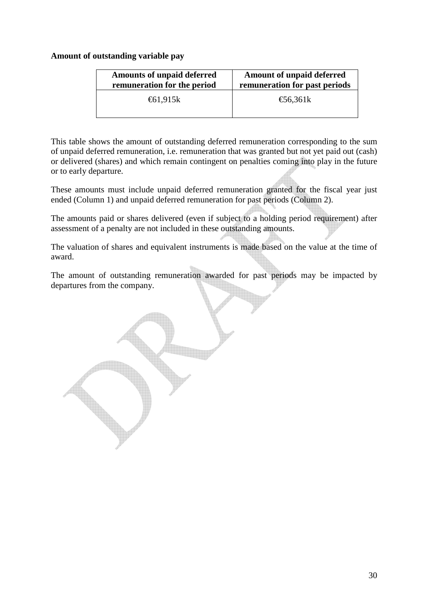### **Amount of outstanding variable pay**

| <b>Amounts of unpaid deferred</b> | <b>Amount of unpaid deferred</b> |
|-----------------------------------|----------------------------------|
| remuneration for the period       | remuneration for past periods    |
| €61,915 $k$                       | $\epsilon$ 56,361k               |

This table shows the amount of outstanding deferred remuneration corresponding to the sum of unpaid deferred remuneration, i.e. remuneration that was granted but not yet paid out (cash) or delivered (shares) and which remain contingent on penalties coming into play in the future or to early departure.

These amounts must include unpaid deferred remuneration granted for the fiscal year just ended (Column 1) and unpaid deferred remuneration for past periods (Column 2).

The amounts paid or shares delivered (even if subject to a holding period requirement) after assessment of a penalty are not included in these outstanding amounts.

The valuation of shares and equivalent instruments is made based on the value at the time of award.

The amount of outstanding remuneration awarded for past periods may be impacted by departures from the company.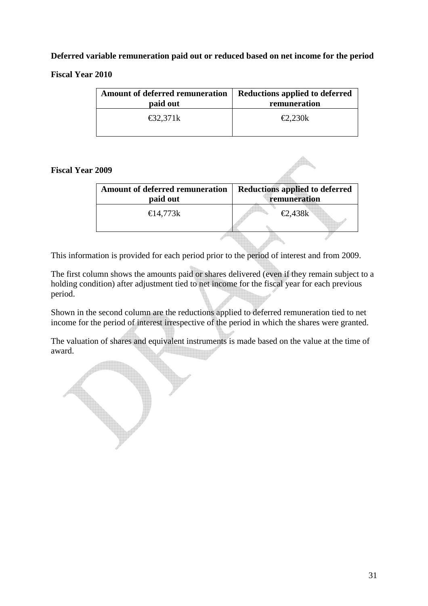## **Deferred variable remuneration paid out or reduced based on net income for the period**

## **Fiscal Year 2010**

| <b>Amount of deferred remuneration</b> | Reductions applied to deferred |
|----------------------------------------|--------------------------------|
| paid out                               | remuneration                   |
| $\text{\textsterling}32,371k$          | $\epsilon$ 2,230k              |

### **Fiscal Year 2009**

| <b>Amount of deferred remuneration</b><br>paid out | <b>Reductions applied to deferred</b><br>remuneration |
|----------------------------------------------------|-------------------------------------------------------|
|                                                    |                                                       |
| €14,773k                                           | $\epsilon$ 2,438k                                     |
|                                                    |                                                       |
|                                                    |                                                       |
|                                                    |                                                       |

This information is provided for each period prior to the period of interest and from 2009.

The first column shows the amounts paid or shares delivered (even if they remain subject to a holding condition) after adjustment tied to net income for the fiscal year for each previous period.

Shown in the second column are the reductions applied to deferred remuneration tied to net income for the period of interest irrespective of the period in which the shares were granted.

The valuation of shares and equivalent instruments is made based on the value at the time of award.